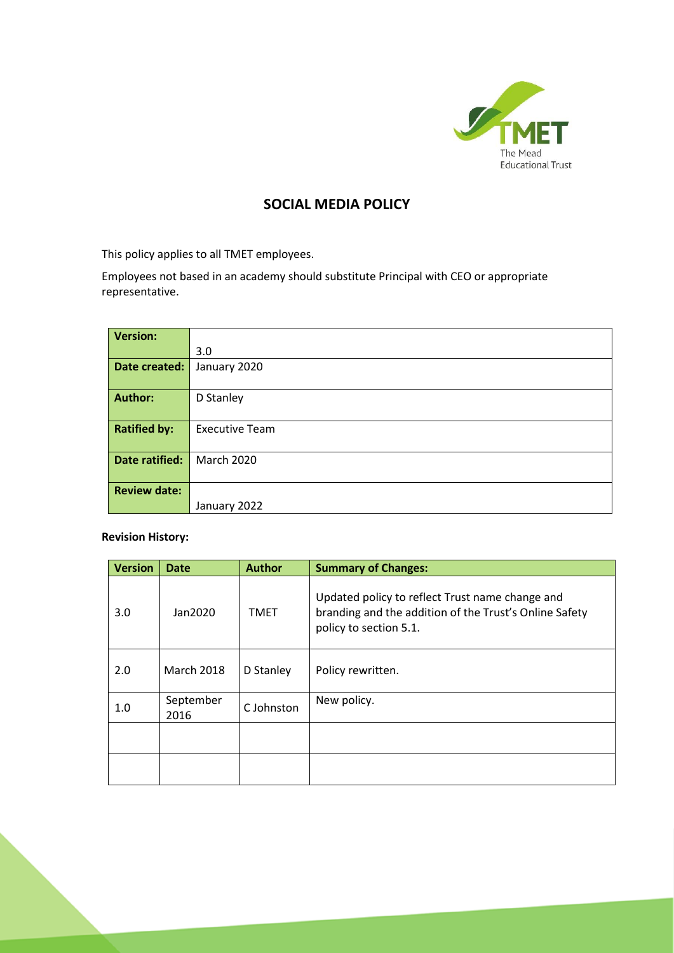

# **SOCIAL MEDIA POLICY**

This policy applies to all TMET employees.

Employees not based in an academy should substitute Principal with CEO or appropriate representative.

| <b>Version:</b>       |                       |
|-----------------------|-----------------------|
|                       | 3.0                   |
| Date created:         | January 2020          |
|                       |                       |
| <b>Author:</b>        | D Stanley             |
|                       |                       |
| <b>Ratified by:</b>   | <b>Executive Team</b> |
|                       |                       |
| <b>Date ratified:</b> | <b>March 2020</b>     |
|                       |                       |
| <b>Review date:</b>   |                       |
|                       | January 2022          |

**Revision History:**

| <b>Version</b> | <b>Date</b>       | <b>Author</b> | <b>Summary of Changes:</b>                                                                                                          |
|----------------|-------------------|---------------|-------------------------------------------------------------------------------------------------------------------------------------|
| 3.0            | Jan2020           | <b>TMET</b>   | Updated policy to reflect Trust name change and<br>branding and the addition of the Trust's Online Safety<br>policy to section 5.1. |
| 2.0            | <b>March 2018</b> | D Stanley     | Policy rewritten.                                                                                                                   |
| 1.0            | September<br>2016 | C Johnston    | New policy.                                                                                                                         |
|                |                   |               |                                                                                                                                     |
|                |                   |               |                                                                                                                                     |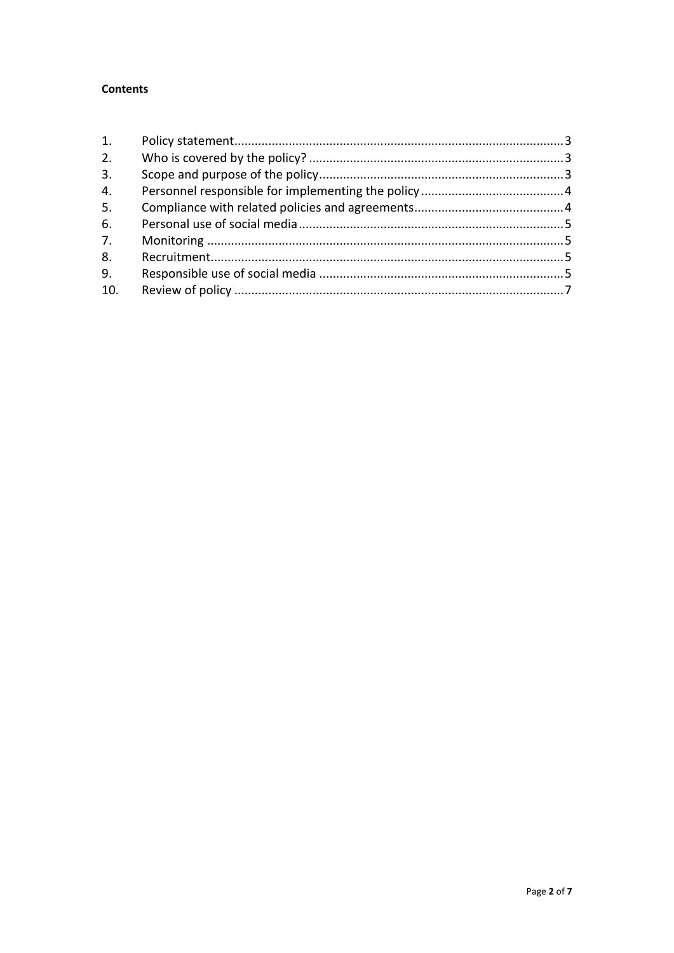# **Contents**

| 1.  |  |
|-----|--|
| 2.  |  |
| 3.  |  |
| 4.  |  |
| 5.  |  |
| 6.  |  |
| 7.  |  |
| 8.  |  |
| 9.  |  |
| 10. |  |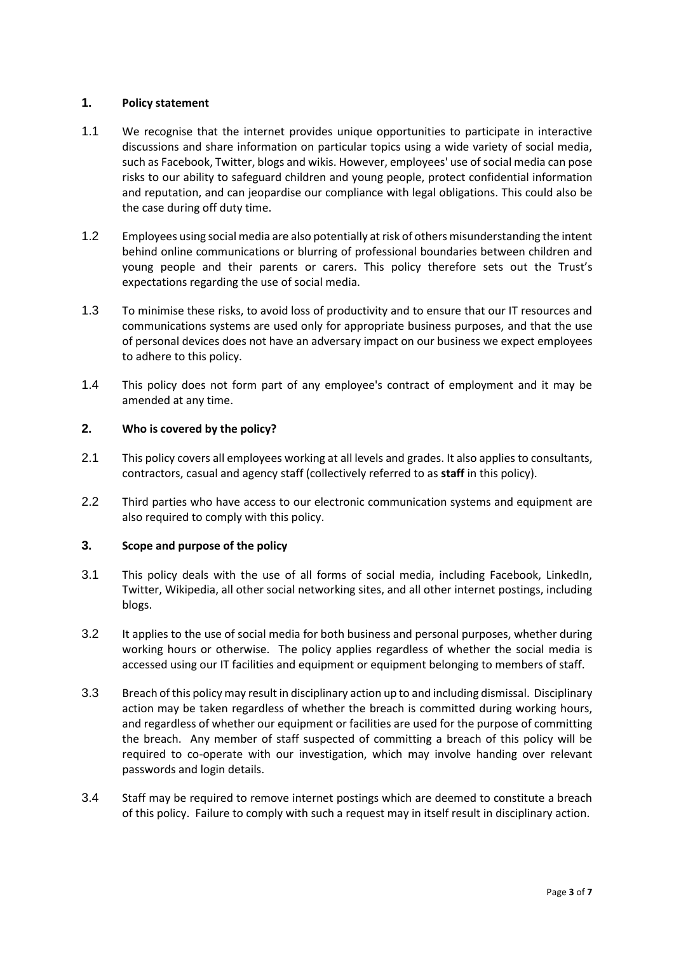# <span id="page-2-0"></span>**1. Policy statement**

- 1.1 We recognise that the internet provides unique opportunities to participate in interactive discussions and share information on particular topics using a wide variety of social media, such as Facebook, Twitter, blogs and wikis. However, employees' use of social media can pose risks to our ability to safeguard children and young people, protect confidential information and reputation, and can jeopardise our compliance with legal obligations. This could also be the case during off duty time.
- 1.2 Employees using social media are also potentially at risk of others misunderstanding the intent behind online communications or blurring of professional boundaries between children and young people and their parents or carers. This policy therefore sets out the Trust's expectations regarding the use of social media.
- 1.3 To minimise these risks, to avoid loss of productivity and to ensure that our IT resources and communications systems are used only for appropriate business purposes, and that the use of personal devices does not have an adversary impact on our business we expect employees to adhere to this policy.
- 1.4 This policy does not form part of any employee's contract of employment and it may be amended at any time.

# <span id="page-2-1"></span>**2. Who is covered by the policy?**

- 2.1 This policy covers all employees working at all levels and grades. It also applies to consultants, contractors, casual and agency staff (collectively referred to as **staff** in this policy).
- 2.2 Third parties who have access to our electronic communication systems and equipment are also required to comply with this policy.

# <span id="page-2-2"></span>**3. Scope and purpose of the policy**

- 3.1 This policy deals with the use of all forms of social media, including Facebook, LinkedIn, Twitter, Wikipedia, all other social networking sites, and all other internet postings, including blogs.
- 3.2 It applies to the use of social media for both business and personal purposes, whether during working hours or otherwise. The policy applies regardless of whether the social media is accessed using our IT facilities and equipment or equipment belonging to members of staff.
- 3.3 Breach of this policy may result in disciplinary action up to and including dismissal. Disciplinary action may be taken regardless of whether the breach is committed during working hours, and regardless of whether our equipment or facilities are used for the purpose of committing the breach. Any member of staff suspected of committing a breach of this policy will be required to co-operate with our investigation, which may involve handing over relevant passwords and login details.
- 3.4 Staff may be required to remove internet postings which are deemed to constitute a breach of this policy. Failure to comply with such a request may in itself result in disciplinary action.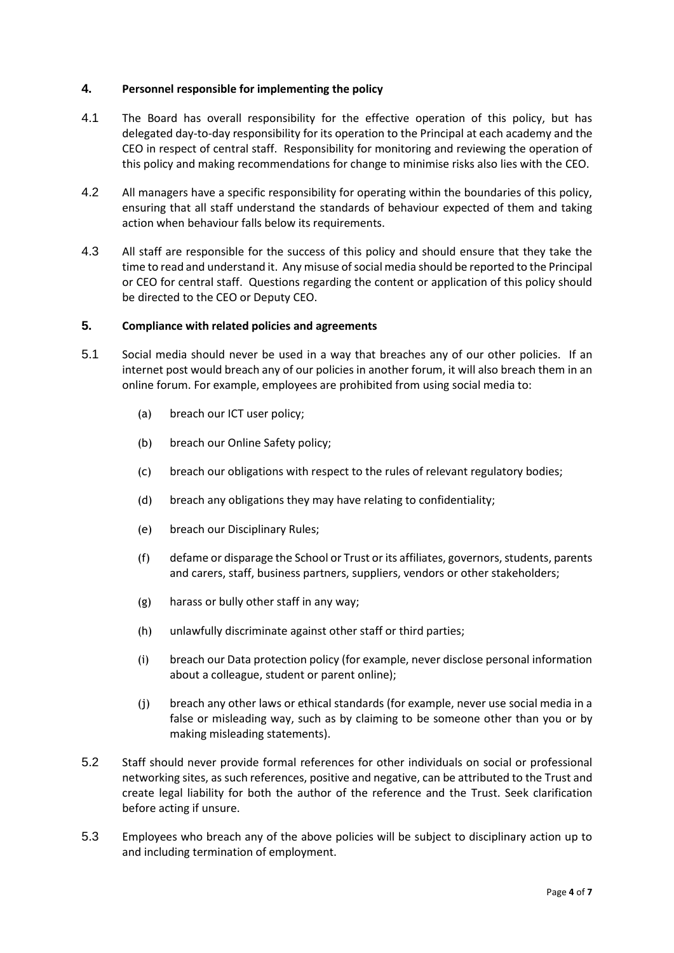# <span id="page-3-0"></span>**4. Personnel responsible for implementing the policy**

- 4.1 The Board has overall responsibility for the effective operation of this policy, but has delegated day-to-day responsibility for its operation to the Principal at each academy and the CEO in respect of central staff. Responsibility for monitoring and reviewing the operation of this policy and making recommendations for change to minimise risks also lies with the CEO.
- 4.2 All managers have a specific responsibility for operating within the boundaries of this policy, ensuring that all staff understand the standards of behaviour expected of them and taking action when behaviour falls below its requirements.
- 4.3 All staff are responsible for the success of this policy and should ensure that they take the time to read and understand it. Any misuse of social media should be reported to the Principal or CEO for central staff. Questions regarding the content or application of this policy should be directed to the CEO or Deputy CEO.

#### <span id="page-3-1"></span>**5. Compliance with related policies and agreements**

- 5.1 Social media should never be used in a way that breaches any of our other policies. If an internet post would breach any of our policies in another forum, it will also breach them in an online forum. For example, employees are prohibited from using social media to:
	- (a) breach our ICT user policy;
	- (b) breach our Online Safety policy;
	- (c) breach our obligations with respect to the rules of relevant regulatory bodies;
	- (d) breach any obligations they may have relating to confidentiality;
	- (e) breach our Disciplinary Rules;
	- (f) defame or disparage the School or Trust or its affiliates, governors, students, parents and carers, staff, business partners, suppliers, vendors or other stakeholders;
	- (g) harass or bully other staff in any way;
	- (h) unlawfully discriminate against other staff or third parties;
	- (i) breach our Data protection policy (for example, never disclose personal information about a colleague, student or parent online);
	- (j) breach any other laws or ethical standards (for example, never use social media in a false or misleading way, such as by claiming to be someone other than you or by making misleading statements).
- 5.2 Staff should never provide formal references for other individuals on social or professional networking sites, as such references, positive and negative, can be attributed to the Trust and create legal liability for both the author of the reference and the Trust. Seek clarification before acting if unsure.
- 5.3 Employees who breach any of the above policies will be subject to disciplinary action up to and including termination of employment.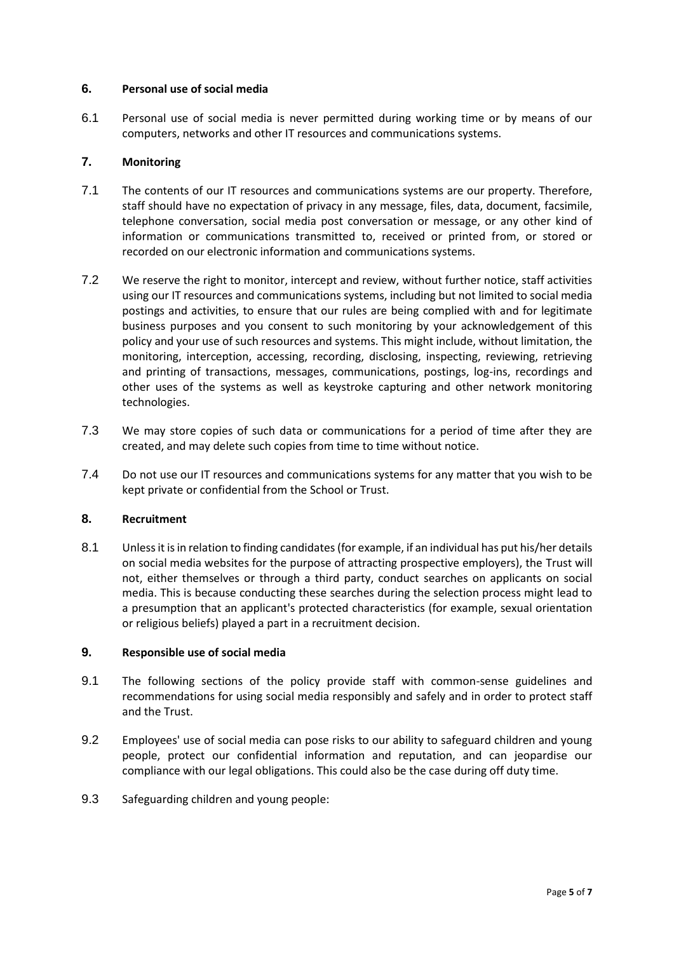# <span id="page-4-0"></span>**6. Personal use of social media**

6.1 Personal use of social media is never permitted during working time or by means of our computers, networks and other IT resources and communications systems.

# <span id="page-4-1"></span>**7. Monitoring**

- 7.1 The contents of our IT resources and communications systems are our property. Therefore, staff should have no expectation of privacy in any message, files, data, document, facsimile, telephone conversation, social media post conversation or message, or any other kind of information or communications transmitted to, received or printed from, or stored or recorded on our electronic information and communications systems.
- 7.2 We reserve the right to monitor, intercept and review, without further notice, staff activities using our IT resources and communications systems, including but not limited to social media postings and activities, to ensure that our rules are being complied with and for legitimate business purposes and you consent to such monitoring by your acknowledgement of this policy and your use of such resources and systems. This might include, without limitation, the monitoring, interception, accessing, recording, disclosing, inspecting, reviewing, retrieving and printing of transactions, messages, communications, postings, log-ins, recordings and other uses of the systems as well as keystroke capturing and other network monitoring technologies.
- 7.3 We may store copies of such data or communications for a period of time after they are created, and may delete such copies from time to time without notice.
- 7.4 Do not use our IT resources and communications systems for any matter that you wish to be kept private or confidential from the School or Trust.

# <span id="page-4-2"></span>**8. Recruitment**

8.1 Unless it is in relation to finding candidates (for example, if an individual has put his/her details on social media websites for the purpose of attracting prospective employers), the Trust will not, either themselves or through a third party, conduct searches on applicants on social media. This is because conducting these searches during the selection process might lead to a presumption that an applicant's protected characteristics (for example, sexual orientation or religious beliefs) played a part in a recruitment decision.

# <span id="page-4-3"></span>**9. Responsible use of social media**

- 9.1 The following sections of the policy provide staff with common-sense guidelines and recommendations for using social media responsibly and safely and in order to protect staff and the Trust.
- 9.2 Employees' use of social media can pose risks to our ability to safeguard children and young people, protect our confidential information and reputation, and can jeopardise our compliance with our legal obligations. This could also be the case during off duty time.
- 9.3 Safeguarding children and young people: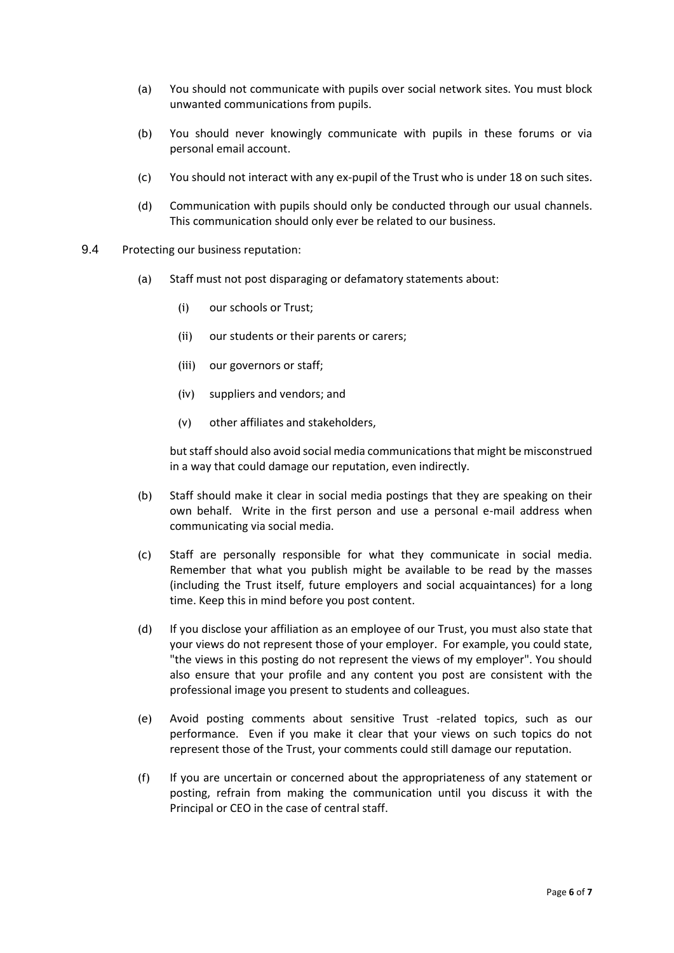- (a) You should not communicate with pupils over social network sites. You must block unwanted communications from pupils.
- (b) You should never knowingly communicate with pupils in these forums or via personal email account.
- (c) You should not interact with any ex-pupil of the Trust who is under 18 on such sites.
- (d) Communication with pupils should only be conducted through our usual channels. This communication should only ever be related to our business.
- 9.4 Protecting our business reputation:
	- (a) Staff must not post disparaging or defamatory statements about:
		- (i) our schools or Trust;
		- (ii) our students or their parents or carers;
		- (iii) our governors or staff;
		- (iv) suppliers and vendors; and
		- (v) other affiliates and stakeholders,

but staff should also avoid social media communications that might be misconstrued in a way that could damage our reputation, even indirectly.

- (b) Staff should make it clear in social media postings that they are speaking on their own behalf. Write in the first person and use a personal e-mail address when communicating via social media.
- (c) Staff are personally responsible for what they communicate in social media. Remember that what you publish might be available to be read by the masses (including the Trust itself, future employers and social acquaintances) for a long time. Keep this in mind before you post content.
- (d) If you disclose your affiliation as an employee of our Trust, you must also state that your views do not represent those of your employer. For example, you could state, "the views in this posting do not represent the views of my employer". You should also ensure that your profile and any content you post are consistent with the professional image you present to students and colleagues.
- (e) Avoid posting comments about sensitive Trust -related topics, such as our performance. Even if you make it clear that your views on such topics do not represent those of the Trust, your comments could still damage our reputation.
- (f) If you are uncertain or concerned about the appropriateness of any statement or posting, refrain from making the communication until you discuss it with the Principal or CEO in the case of central staff.